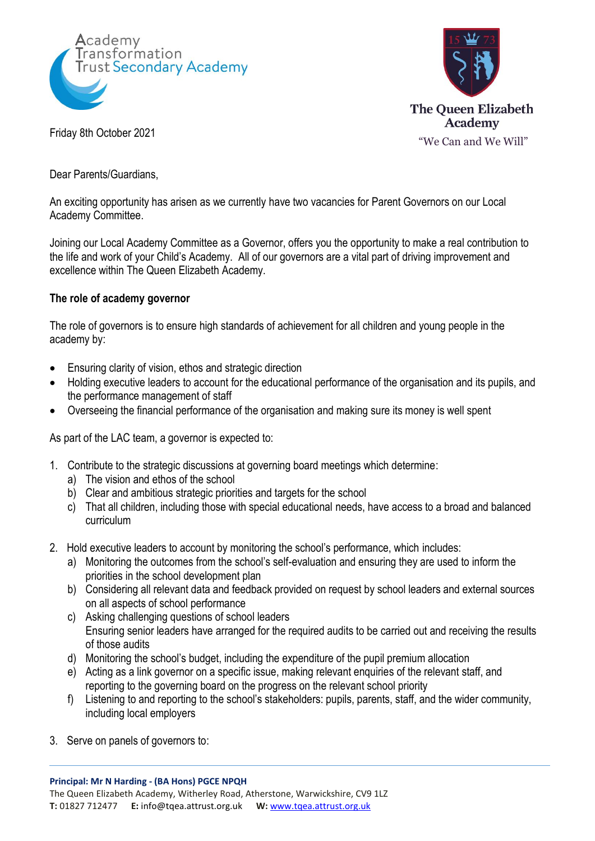



Dear Parents/Guardians,

An exciting opportunity has arisen as we currently have two vacancies for Parent Governors on our Local Academy Committee.

Joining our Local Academy Committee as a Governor, offers you the opportunity to make a real contribution to the life and work of your Child's Academy. All of our governors are a vital part of driving improvement and excellence within The Queen Elizabeth Academy.

## **The role of academy governor**

The role of governors is to ensure high standards of achievement for all children and young people in the academy by:

- Ensuring clarity of vision, ethos and strategic direction
- Holding executive leaders to account for the educational performance of the organisation and its pupils, and the performance management of staff
- Overseeing the financial performance of the organisation and making sure its money is well spent

As part of the LAC team, a governor is expected to:

- 1. Contribute to the strategic discussions at governing board meetings which determine:
	- a) The vision and ethos of the school
	- b) Clear and ambitious strategic priorities and targets for the school
	- c) That all children, including those with special educational needs, have access to a broad and balanced curriculum
- 2. Hold executive leaders to account by monitoring the school's performance, which includes:
	- a) Monitoring the outcomes from the school's self-evaluation and ensuring they are used to inform the priorities in the school development plan
	- b) Considering all relevant data and feedback provided on request by school leaders and external sources on all aspects of school performance
	- c) Asking challenging questions of school leaders Ensuring senior leaders have arranged for the required audits to be carried out and receiving the results of those audits
	- d) Monitoring the school's budget, including the expenditure of the pupil premium allocation
	- e) Acting as a link governor on a specific issue, making relevant enquiries of the relevant staff, and reporting to the governing board on the progress on the relevant school priority
	- f) Listening to and reporting to the school's stakeholders: pupils, parents, staff, and the wider community, including local employers
- 3. Serve on panels of governors to: